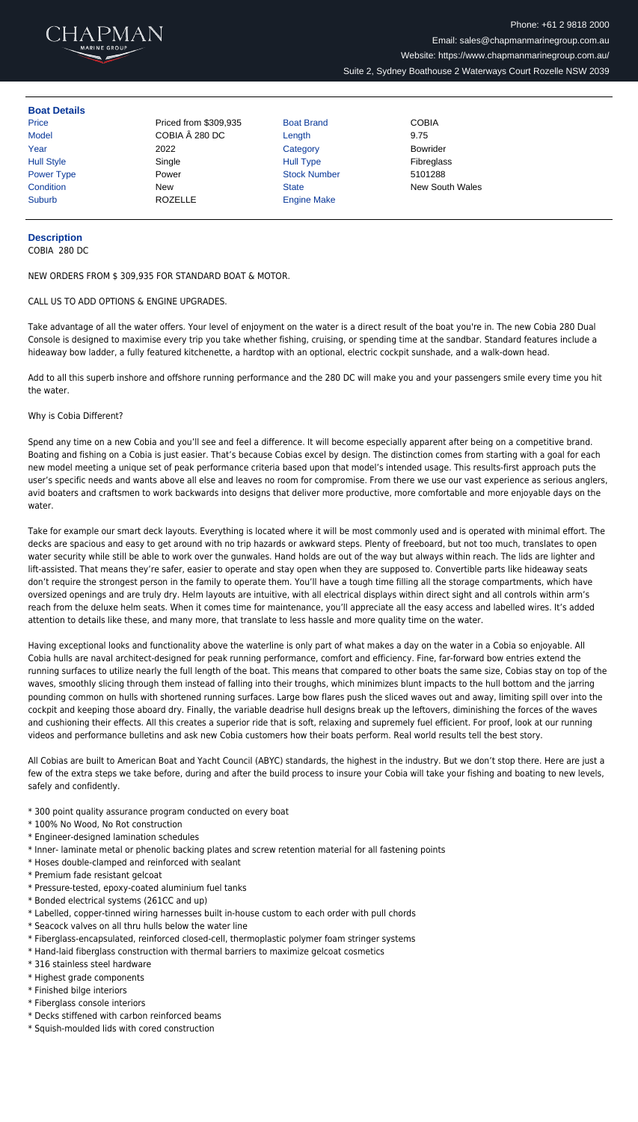

## **Boat Details**

Price **Price Priced from \$309,935** Boat Brand **COBIA** Model **COBIA A 280 DC** Length 9.75 Year 2022 Category Bowrider Hull Style  $\begin{array}{ccc} \text{Sine} & \text{Sine} \end{array}$ Power Type **Power COVID-TYPE POWER COVID-TYPE POWER** Stock Number 5101288 Suburb ROZELLE Engine Make

**Condition** New New State State New South Wales

## **Description**

COBIA 280 DC

NEW ORDERS FROM \$ 309,935 FOR STANDARD BOAT & MOTOR.

## CALL US TO ADD OPTIONS & ENGINE UPGRADES.

Take advantage of all the water offers. Your level of enjoyment on the water is a direct result of the boat you're in. The new Cobia 280 Dual Console is designed to maximise every trip you take whether fishing, cruising, or spending time at the sandbar. Standard features include a hideaway bow ladder, a fully featured kitchenette, a hardtop with an optional, electric cockpit sunshade, and a walk-down head.

Add to all this superb inshore and offshore running performance and the 280 DC will make you and your passengers smile every time you hit the water.

## Why is Cobia Different?

Spend any time on a new Cobia and you'll see and feel a difference. It will become especially apparent after being on a competitive brand. Boating and fishing on a Cobia is just easier. That's because Cobias excel by design. The distinction comes from starting with a goal for each new model meeting a unique set of peak performance criteria based upon that model's intended usage. This results-first approach puts the user's specific needs and wants above all else and leaves no room for compromise. From there we use our vast experience as serious anglers, avid boaters and craftsmen to work backwards into designs that deliver more productive, more comfortable and more enjoyable days on the water.

Take for example our smart deck layouts. Everything is located where it will be most commonly used and is operated with minimal effort. The decks are spacious and easy to get around with no trip hazards or awkward steps. Plenty of freeboard, but not too much, translates to open water security while still be able to work over the gunwales. Hand holds are out of the way but always within reach. The lids are lighter and lift-assisted. That means they're safer, easier to operate and stay open when they are supposed to. Convertible parts like hideaway seats don't require the strongest person in the family to operate them. You'll have a tough time filling all the storage compartments, which have oversized openings and are truly dry. Helm layouts are intuitive, with all electrical displays within direct sight and all controls within arm's reach from the deluxe helm seats. When it comes time for maintenance, you'll appreciate all the easy access and labelled wires. It's added attention to details like these, and many more, that translate to less hassle and more quality time on the water.

Having exceptional looks and functionality above the waterline is only part of what makes a day on the water in a Cobia so enjoyable. All Cobia hulls are naval architect-designed for peak running performance, comfort and efficiency. Fine, far-forward bow entries extend the running surfaces to utilize nearly the full length of the boat. This means that compared to other boats the same size, Cobias stay on top of the waves, smoothly slicing through them instead of falling into their troughs, which minimizes blunt impacts to the hull bottom and the jarring pounding common on hulls with shortened running surfaces. Large bow flares push the sliced waves out and away, limiting spill over into the cockpit and keeping those aboard dry. Finally, the variable deadrise hull designs break up the leftovers, diminishing the forces of the waves and cushioning their effects. All this creates a superior ride that is soft, relaxing and supremely fuel efficient. For proof, look at our running videos and performance bulletins and ask new Cobia customers how their boats perform. Real world results tell the best story.

All Cobias are built to American Boat and Yacht Council (ABYC) standards, the highest in the industry. But we don't stop there. Here are just a few of the extra steps we take before, during and after the build process to insure your Cobia will take your fishing and boating to new levels, safely and confidently.

- \* 300 point quality assurance program conducted on every boat
- \* 100% No Wood, No Rot construction
- \* Engineer-designed lamination schedules
- \* Inner- laminate metal or phenolic backing plates and screw retention material for all fastening points
- \* Hoses double-clamped and reinforced with sealant
- \* Premium fade resistant gelcoat
- \* Pressure-tested, epoxy-coated aluminium fuel tanks
- \* Bonded electrical systems (261CC and up)
- \* Labelled, copper-tinned wiring harnesses built in-house custom to each order with pull chords
- \* Seacock valves on all thru hulls below the water line
- \* Fiberglass-encapsulated, reinforced closed-cell, thermoplastic polymer foam stringer systems
- \* Hand-laid fiberglass construction with thermal barriers to maximize gelcoat cosmetics
- \* 316 stainless steel hardware
- \* Highest grade components
- \* Finished bilge interiors
- \* Fiberglass console interiors
- \* Decks stiffened with carbon reinforced beams
- \* Squish-moulded lids with cored construction